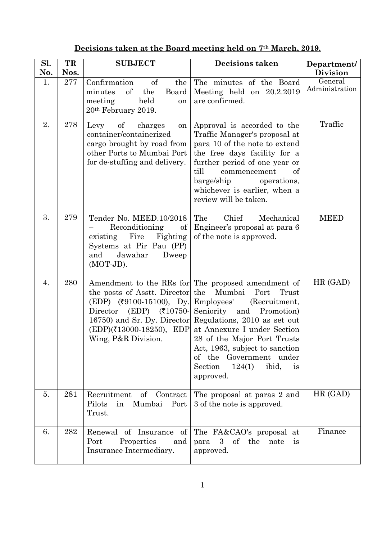|  | Decisions taken at the Board meeting held on 7 <sup>th</sup> March, 2019. |  |
|--|---------------------------------------------------------------------------|--|
|  |                                                                           |  |

| Sl. | TR   | <b>SUBJECT</b>                                                                                                                                                         | Decisions taken                                                                                                                                                                                                                                                                                                                                                                     | Department/               |
|-----|------|------------------------------------------------------------------------------------------------------------------------------------------------------------------------|-------------------------------------------------------------------------------------------------------------------------------------------------------------------------------------------------------------------------------------------------------------------------------------------------------------------------------------------------------------------------------------|---------------------------|
| No. | Nos. |                                                                                                                                                                        |                                                                                                                                                                                                                                                                                                                                                                                     | <b>Division</b>           |
| 1.  | 277  | Confirmation<br><sub>of</sub><br>the<br>minutes<br>of<br>the<br>Board<br>held<br>meeting<br>on<br>20 <sup>th</sup> February 2019.                                      | The minutes of the Board<br>Meeting held on $20.2.2019$<br>are confirmed.                                                                                                                                                                                                                                                                                                           | General<br>Administration |
| 2.  | 278  | of<br>Levy<br>charges<br>on<br>container/containerized<br>cargo brought by road from<br>other Ports to Mumbai Port<br>for de-stuffing and delivery.                    | Approval is accorded to the<br>Traffic Manager's proposal at<br>para 10 of the note to extend<br>the free days facility for a<br>further period of one year or<br>till<br>of<br>commencement<br>barge/ship<br>operations,<br>whichever is earlier, when a<br>review will be taken.                                                                                                  | Traffic                   |
| 3.  | 279  | Tender No. MEED.10/2018<br>Reconditioning<br>of<br>Fire<br>Fighting<br>existing<br>Systems at Pir Pau (PP)<br>Jawahar<br>Dweep<br>and<br>$(MOT-JD)$ .                  | Chief<br>Mechanical<br>The<br>Engineer's proposal at para 6<br>of the note is approved.                                                                                                                                                                                                                                                                                             | <b>MEED</b>               |
| 4.  | 280  | the posts of Asstt. Director the<br>$(EDP)$ (₹9100-15100), Dy.<br>Director<br>$(EDP)$ (₹10750-<br>$(EDP)(\text{\textsterling}13000-18250), EDP$<br>Wing, P&R Division. | Amendment to the RRs for The proposed amendment of<br>Mumbai<br>Port<br>Trust<br>Employees'<br>(Recruitment,<br>Seniority and<br>Promotion)<br>16750) and Sr. Dy. Director Regulations, 2010 as set out<br>at Annexure I under Section<br>28 of the Major Port Trusts<br>Act, 1963, subject to sanction<br>of the Government under<br>124(1)<br>ibid,<br>Section<br>is<br>approved. | HR (GAD)                  |
| 5.  | 281  | Recruitment<br>of Contract<br>Port<br>Pilots<br>in<br>Mumbai<br>Trust.                                                                                                 | The proposal at paras 2 and<br>3 of the note is approved.                                                                                                                                                                                                                                                                                                                           | HR (GAD)                  |
| 6.  | 282  | of Insurance<br>of<br>Renewal<br>Port<br>Properties<br>and<br>Insurance Intermediary.                                                                                  | The FA&CAO's proposal at<br>of the<br>3 <sup>1</sup><br>note<br>para<br><i>is</i><br>approved.                                                                                                                                                                                                                                                                                      | Finance                   |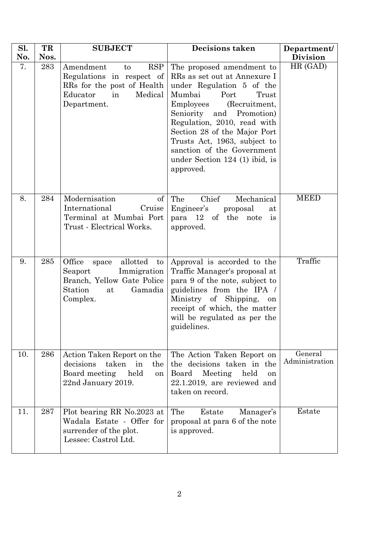| Sl. | TR   | <b>SUBJECT</b>                                                                                                                       | <b>Decisions taken</b>                                                                                                                                                                                                                                                                                                                                    | Department/               |
|-----|------|--------------------------------------------------------------------------------------------------------------------------------------|-----------------------------------------------------------------------------------------------------------------------------------------------------------------------------------------------------------------------------------------------------------------------------------------------------------------------------------------------------------|---------------------------|
| No. | Nos. |                                                                                                                                      |                                                                                                                                                                                                                                                                                                                                                           | <b>Division</b>           |
| 7.  | 283  | Amendment<br><b>RSP</b><br>to<br>Regulations in respect of<br>RRs for the post of Health<br>Educator<br>Medical<br>in<br>Department. | The proposed amendment to<br>RRs as set out at Annexure I<br>under Regulation 5 of the<br>Port<br>Mumbai<br>Trust<br>Employees<br>(Recruitment,<br>Seniority and Promotion)<br>Regulation, 2010, read with<br>Section 28 of the Major Port<br>Trusts Act, 1963, subject to<br>sanction of the Government<br>under Section $124$ (1) ibid, is<br>approved. | HR (GAD)                  |
| 8.  | 284  | Modernisation<br>of<br>International<br>Cruise<br>Terminal at Mumbai Port<br>Trust - Electrical Works.                               | Chief<br>The<br>Mechanical<br>Engineer's<br>proposal<br>at<br>para 12 of the note<br>is<br>approved.                                                                                                                                                                                                                                                      | <b>MEED</b>               |
| 9.  | 285  | Office<br>allotted<br>to<br>space<br>Immigration<br>Seaport<br>Branch, Yellow Gate Police<br>Station<br>Gamadia<br>at<br>Complex.    | Approval is accorded to the<br>Traffic Manager's proposal at<br>para 9 of the note, subject to<br>guidelines from the IPA /<br>Ministry of Shipping,<br>on<br>receipt of which, the matter<br>will be regulated as per the<br>guidelines.                                                                                                                 | Traffic                   |
| 10. | 286  | Action Taken Report on the<br>taken<br>decisions<br>in<br>the<br>Board meeting<br>held<br><sub>on</sub><br>22nd January 2019.        | The Action Taken Report on<br>the decisions taken in the<br>Meeting<br>held<br>Board<br>on<br>$22.1.2019$ , are reviewed and<br>taken on record.                                                                                                                                                                                                          | General<br>Administration |
| 11. | 287  | Plot bearing RR No.2023 at<br>Wadala Estate - Offer for<br>surrender of the plot.<br>Lessee: Castrol Ltd.                            | The<br>Estate<br>Manager's<br>proposal at para 6 of the note<br>is approved.                                                                                                                                                                                                                                                                              | Estate                    |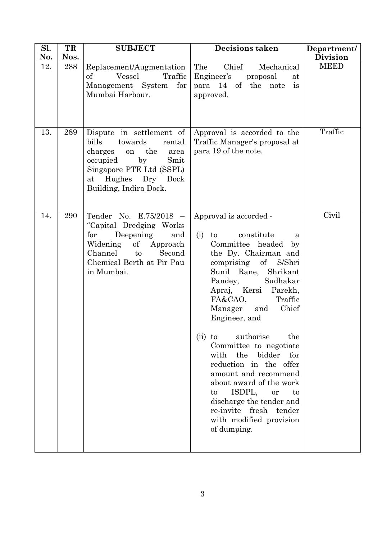| Sl. | TR   | <b>SUBJECT</b>                                                                                                                                                                                     | <b>Decisions taken</b>                                                                                                                                                                                                                                                                                                                                                                                                                                                                                                                                                                                         | Department/     |
|-----|------|----------------------------------------------------------------------------------------------------------------------------------------------------------------------------------------------------|----------------------------------------------------------------------------------------------------------------------------------------------------------------------------------------------------------------------------------------------------------------------------------------------------------------------------------------------------------------------------------------------------------------------------------------------------------------------------------------------------------------------------------------------------------------------------------------------------------------|-----------------|
| No. | Nos. |                                                                                                                                                                                                    |                                                                                                                                                                                                                                                                                                                                                                                                                                                                                                                                                                                                                | <b>Division</b> |
| 12. | 288  | Replacement/Augmentation<br>of<br>Vessel<br>Traffic<br>Management System<br>for<br>Mumbai Harbour.                                                                                                 | Chief<br>The<br>Mechanical<br>Engineer's<br>proposal<br>at<br>para 14 of the note is<br>approved.                                                                                                                                                                                                                                                                                                                                                                                                                                                                                                              | <b>MEED</b>     |
| 13. | 289  | Dispute in settlement of<br>bills<br>towards<br>rental<br>charges<br>the<br>on<br>area<br>by<br>occupied<br>Smit<br>Singapore PTE Ltd (SSPL)<br>Hughes Dry<br>Dock<br>at<br>Building, Indira Dock. | Approval is accorded to the<br>Traffic Manager's proposal at<br>para 19 of the note.                                                                                                                                                                                                                                                                                                                                                                                                                                                                                                                           | Traffic         |
| 14. | 290  | Tender No. E.75/2018 -<br>"Capital Dredging Works"<br>Deepening<br>for<br>and<br>Widening of<br>Approach<br>Channel to<br>Second<br>Chemical Berth at Pir Pau<br>in Mumbai.                        | Approval is accorded -<br>constitute<br>(i)<br>$\mathbf{to}$<br>a<br>Committee headed<br>by<br>the Dy. Chairman and<br>$\sigma$<br>S/Shri<br>comprising<br>Sunil Rane, Shrikant<br>Sudhakar<br>Pandey,<br>Apraj, Kersi Parekh,<br>FA&CAO,<br>Traffic<br>Chief<br>Manager<br>and<br>Engineer, and<br>authorise<br>the<br>$(ii)$ to<br>Committee to negotiate<br>with<br>the<br>bidder<br>for<br>reduction in the offer<br>amount and recommend<br>about award of the work<br>ISDPL,<br>$\mathbf{t}$<br>to<br>or<br>discharge the tender and<br>re-invite fresh tender<br>with modified provision<br>of dumping. | Civil           |